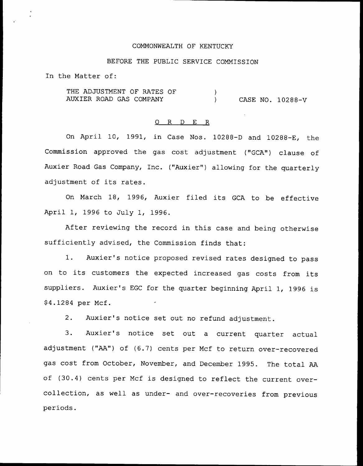### COMMONWEALTH OF KENTUCKY

# BEFORE THE PUBLIC SERVICE COMMISSION

In the Matter of:

THE ADJUSTMENT OF RATES OF  $\lambda$ AUXIER ROAD GAS COMPANY (and the case no. 10288-V

#### 0 R <sup>D</sup> E R

On April 10, 1991, in Case Nos. 10288-D and 10288-E, the Commission approved the gas cost adjustment ("GCA") clause of Auxier Road Gas Company, Inc. ("Auxier") allowing for the quarterly adjustment of its rates.

On March 18, 1996, Auxier filed its GCA to be effective April 1, 1996 to July 1, 1996.

After reviewing the record in this case and being otherwise sufficiently advised, the Commission finds that:

1. Auxier's notice proposed revised rates designed to pass on to its customers the expected increased gas costs from its suppliers. Auxier's EGC for the quarter beginning April 1, 1996 is 94.1284 per Mcf.

2. Auxier's notice set out no refund adjustment.

3. Auxier's notice set out a current quarter actual adjustment ("AA") of (6.7) cents per Mcf to return over-recovered gas cost from October, November, and December 1995. The total AA of (30.4) cents per Mcf is designed to reflect the current overcollection, as well as under- and over-recoveries from previous periods.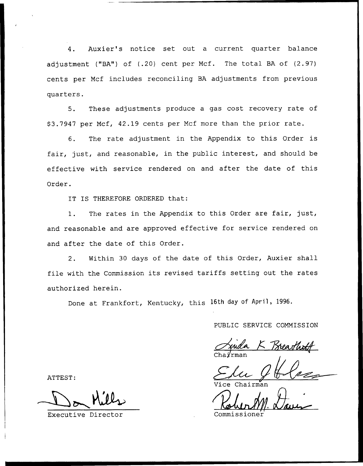4. Auxier's notice set out a current quarter balance adjustment ("BA") of (.20) cent per Mcf. The total BA of (2.97) cents per Ncf includes reconciling BA adjustments from previous quarters.

5. These adjustments produce a gas cost recovery rate of \$ 3.7947 per Mcf, 42.19 cents per Ncf more than the prior rate.

6. The rate adjustment in the Appendix to this Order is fair, just, and reasonable, in the public interest, and should be effective with service rendered on and after the date of this Order.

IT IS THEREFORE ORDERED that:

1. The rates in the Appendix to this Order are fair, just, and reasonable and are approved effective for service rendered on and after the date of this Order.

2. Within 30 days of the date of this Order, Auxier shall file with the Commission its revised tariffs setting out the rates authorized herein.

Done at Frankfort, Kentucky, this 16th day of April, 1996.

PUBLIC SERVICE COMMISSION

 $K$   $\overline{1}$ Chairma

airman

ATTEST:

Executive Director Commissioner